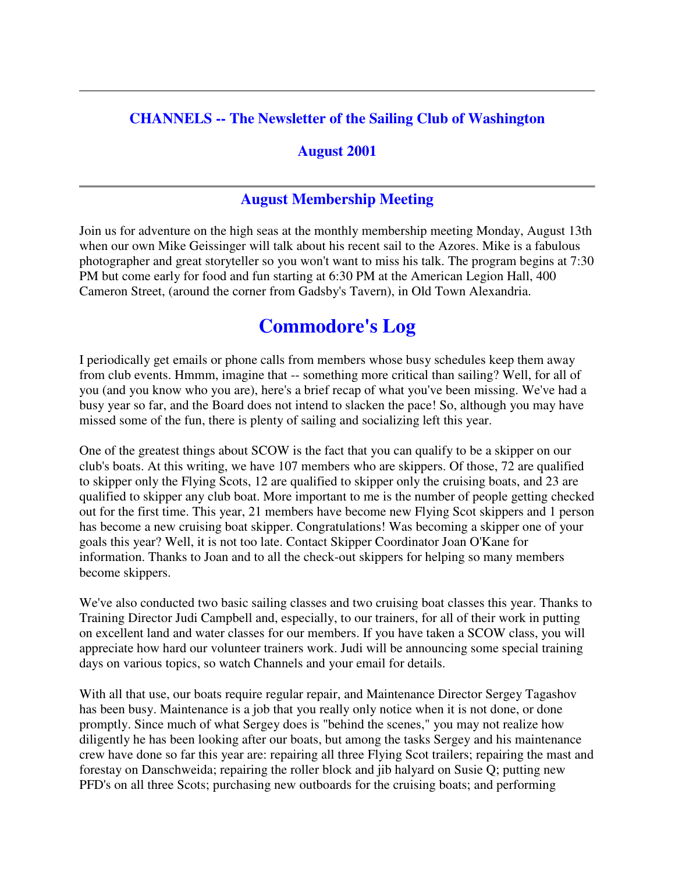#### **CHANNELS -- The Newsletter of the Sailing Club of Washington**

#### **August 2001**

#### **August Membership Meeting**

Join us for adventure on the high seas at the monthly membership meeting Monday, August 13th when our own Mike Geissinger will talk about his recent sail to the Azores. Mike is a fabulous photographer and great storyteller so you won't want to miss his talk. The program begins at 7:30 PM but come early for food and fun starting at 6:30 PM at the American Legion Hall, 400 Cameron Street, (around the corner from Gadsby's Tavern), in Old Town Alexandria.

# **Commodore's Log**

I periodically get emails or phone calls from members whose busy schedules keep them away from club events. Hmmm, imagine that -- something more critical than sailing? Well, for all of you (and you know who you are), here's a brief recap of what you've been missing. We've had a busy year so far, and the Board does not intend to slacken the pace! So, although you may have missed some of the fun, there is plenty of sailing and socializing left this year.

One of the greatest things about SCOW is the fact that you can qualify to be a skipper on our club's boats. At this writing, we have 107 members who are skippers. Of those, 72 are qualified to skipper only the Flying Scots, 12 are qualified to skipper only the cruising boats, and 23 are qualified to skipper any club boat. More important to me is the number of people getting checked out for the first time. This year, 21 members have become new Flying Scot skippers and 1 person has become a new cruising boat skipper. Congratulations! Was becoming a skipper one of your goals this year? Well, it is not too late. Contact Skipper Coordinator Joan O'Kane for information. Thanks to Joan and to all the check-out skippers for helping so many members become skippers.

We've also conducted two basic sailing classes and two cruising boat classes this year. Thanks to Training Director Judi Campbell and, especially, to our trainers, for all of their work in putting on excellent land and water classes for our members. If you have taken a SCOW class, you will appreciate how hard our volunteer trainers work. Judi will be announcing some special training days on various topics, so watch Channels and your email for details.

With all that use, our boats require regular repair, and Maintenance Director Sergey Tagashov has been busy. Maintenance is a job that you really only notice when it is not done, or done promptly. Since much of what Sergey does is "behind the scenes," you may not realize how diligently he has been looking after our boats, but among the tasks Sergey and his maintenance crew have done so far this year are: repairing all three Flying Scot trailers; repairing the mast and forestay on Danschweida; repairing the roller block and jib halyard on Susie Q; putting new PFD's on all three Scots; purchasing new outboards for the cruising boats; and performing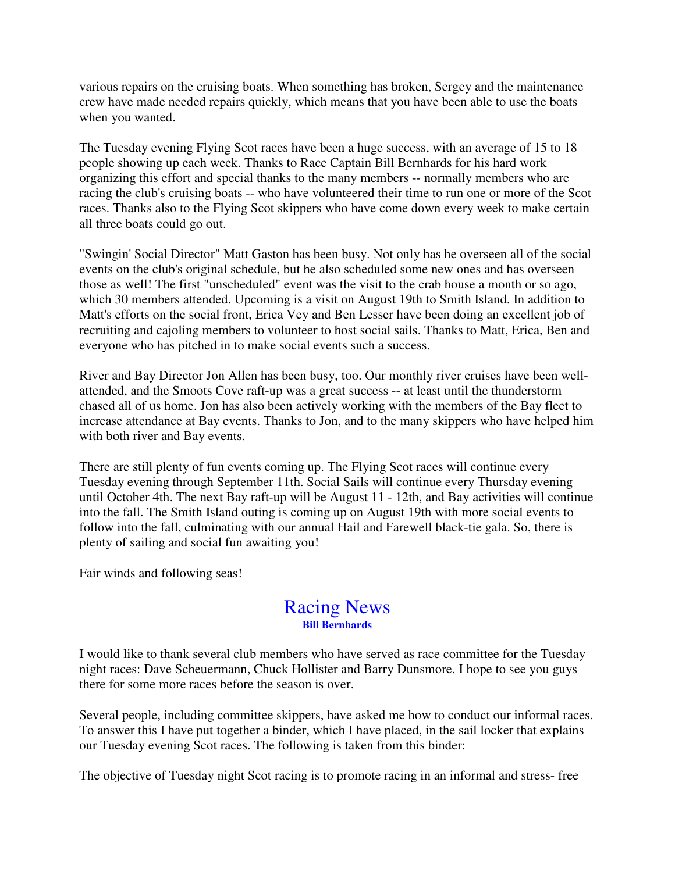various repairs on the cruising boats. When something has broken, Sergey and the maintenance crew have made needed repairs quickly, which means that you have been able to use the boats when you wanted.

The Tuesday evening Flying Scot races have been a huge success, with an average of 15 to 18 people showing up each week. Thanks to Race Captain Bill Bernhards for his hard work organizing this effort and special thanks to the many members -- normally members who are racing the club's cruising boats -- who have volunteered their time to run one or more of the Scot races. Thanks also to the Flying Scot skippers who have come down every week to make certain all three boats could go out.

"Swingin' Social Director" Matt Gaston has been busy. Not only has he overseen all of the social events on the club's original schedule, but he also scheduled some new ones and has overseen those as well! The first "unscheduled" event was the visit to the crab house a month or so ago, which 30 members attended. Upcoming is a visit on August 19th to Smith Island. In addition to Matt's efforts on the social front, Erica Vey and Ben Lesser have been doing an excellent job of recruiting and cajoling members to volunteer to host social sails. Thanks to Matt, Erica, Ben and everyone who has pitched in to make social events such a success.

River and Bay Director Jon Allen has been busy, too. Our monthly river cruises have been wellattended, and the Smoots Cove raft-up was a great success -- at least until the thunderstorm chased all of us home. Jon has also been actively working with the members of the Bay fleet to increase attendance at Bay events. Thanks to Jon, and to the many skippers who have helped him with both river and Bay events.

There are still plenty of fun events coming up. The Flying Scot races will continue every Tuesday evening through September 11th. Social Sails will continue every Thursday evening until October 4th. The next Bay raft-up will be August 11 - 12th, and Bay activities will continue into the fall. The Smith Island outing is coming up on August 19th with more social events to follow into the fall, culminating with our annual Hail and Farewell black-tie gala. So, there is plenty of sailing and social fun awaiting you!

Fair winds and following seas!

### Racing News **Bill Bernhards**

I would like to thank several club members who have served as race committee for the Tuesday night races: Dave Scheuermann, Chuck Hollister and Barry Dunsmore. I hope to see you guys there for some more races before the season is over.

Several people, including committee skippers, have asked me how to conduct our informal races. To answer this I have put together a binder, which I have placed, in the sail locker that explains our Tuesday evening Scot races. The following is taken from this binder:

The objective of Tuesday night Scot racing is to promote racing in an informal and stress- free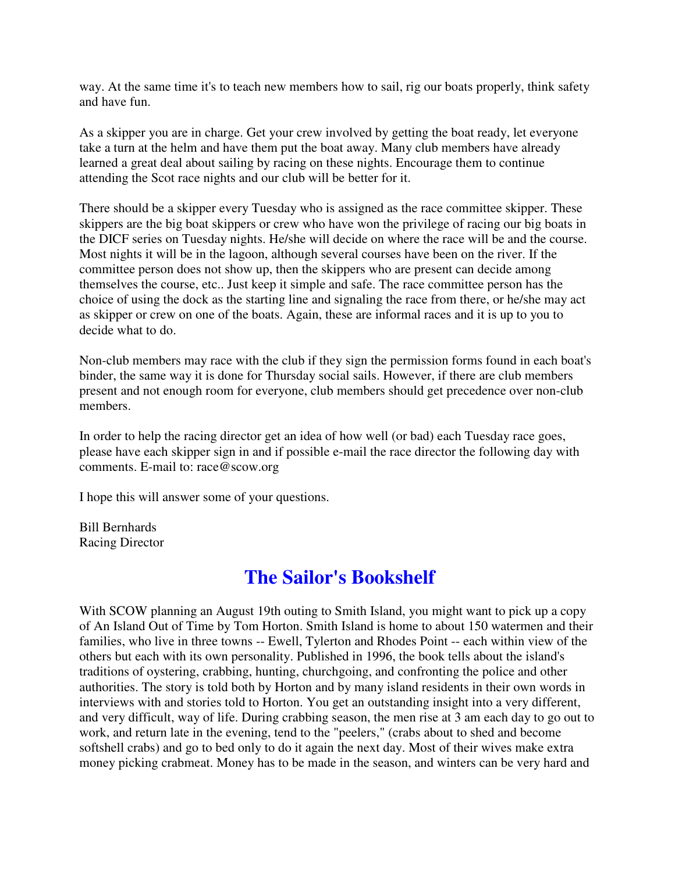way. At the same time it's to teach new members how to sail, rig our boats properly, think safety and have fun.

As a skipper you are in charge. Get your crew involved by getting the boat ready, let everyone take a turn at the helm and have them put the boat away. Many club members have already learned a great deal about sailing by racing on these nights. Encourage them to continue attending the Scot race nights and our club will be better for it.

There should be a skipper every Tuesday who is assigned as the race committee skipper. These skippers are the big boat skippers or crew who have won the privilege of racing our big boats in the DICF series on Tuesday nights. He/she will decide on where the race will be and the course. Most nights it will be in the lagoon, although several courses have been on the river. If the committee person does not show up, then the skippers who are present can decide among themselves the course, etc.. Just keep it simple and safe. The race committee person has the choice of using the dock as the starting line and signaling the race from there, or he/she may act as skipper or crew on one of the boats. Again, these are informal races and it is up to you to decide what to do.

Non-club members may race with the club if they sign the permission forms found in each boat's binder, the same way it is done for Thursday social sails. However, if there are club members present and not enough room for everyone, club members should get precedence over non-club members.

In order to help the racing director get an idea of how well (or bad) each Tuesday race goes, please have each skipper sign in and if possible e-mail the race director the following day with comments. E-mail to: race@scow.org

I hope this will answer some of your questions.

Bill Bernhards Racing Director

# **The Sailor's Bookshelf**

With SCOW planning an August 19th outing to Smith Island, you might want to pick up a copy of An Island Out of Time by Tom Horton. Smith Island is home to about 150 watermen and their families, who live in three towns -- Ewell, Tylerton and Rhodes Point -- each within view of the others but each with its own personality. Published in 1996, the book tells about the island's traditions of oystering, crabbing, hunting, churchgoing, and confronting the police and other authorities. The story is told both by Horton and by many island residents in their own words in interviews with and stories told to Horton. You get an outstanding insight into a very different, and very difficult, way of life. During crabbing season, the men rise at 3 am each day to go out to work, and return late in the evening, tend to the "peelers," (crabs about to shed and become softshell crabs) and go to bed only to do it again the next day. Most of their wives make extra money picking crabmeat. Money has to be made in the season, and winters can be very hard and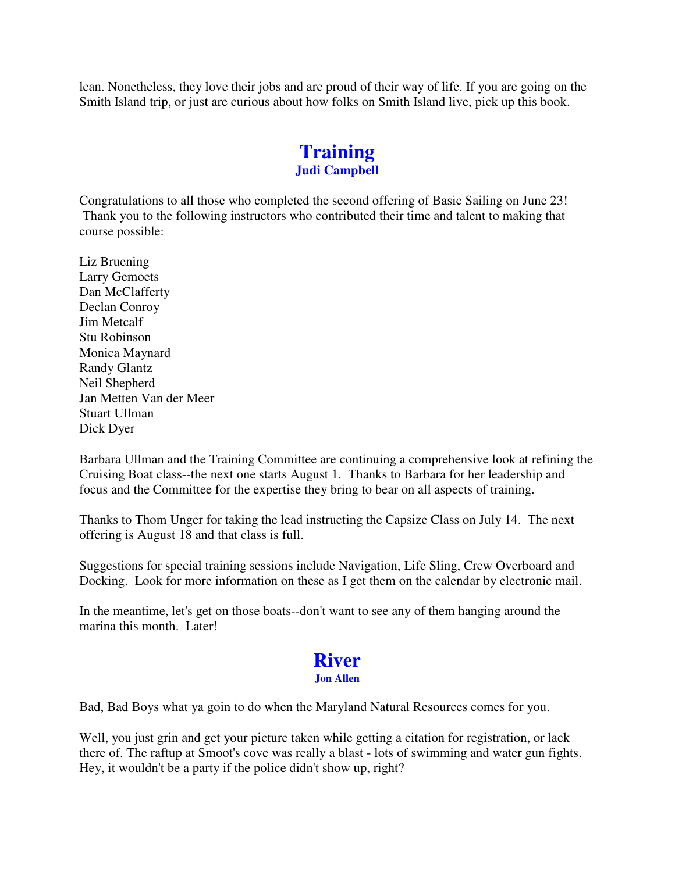lean. Nonetheless, they love their jobs and are proud of their way of life. If you are going on the Smith Island trip, or just are curious about how folks on Smith Island live, pick up this book.

### **Training Judi Campbell**

Congratulations to all those who completed the second offering of Basic Sailing on June 23! Thank you to the following instructors who contributed their time and talent to making that course possible:

Liz Bruening Larry Gemoets Dan McClafferty Declan Conroy Jim Metcalf Stu Robinson Monica Maynard Randy Glantz Neil Shepherd Jan Metten Van der Meer Stuart Ullman Dick Dyer

Barbara Ullman and the Training Committee are continuing a comprehensive look at refining the Cruising Boat class--the next one starts August 1. Thanks to Barbara for her leadership and focus and the Committee for the expertise they bring to bear on all aspects of training.

Thanks to Thom Unger for taking the lead instructing the Capsize Class on July 14. The next offering is August 18 and that class is full.

Suggestions for special training sessions include Navigation, Life Sling, Crew Overboard and Docking. Look for more information on these as I get them on the calendar by electronic mail.

In the meantime, let's get on those boats--don't want to see any of them hanging around the marina this month. Later!

#### **River Jon Allen**

Bad, Bad Boys what ya goin to do when the Maryland Natural Resources comes for you.

Well, you just grin and get your picture taken while getting a citation for registration, or lack there of. The raftup at Smoot's cove was really a blast - lots of swimming and water gun fights. Hey, it wouldn't be a party if the police didn't show up, right?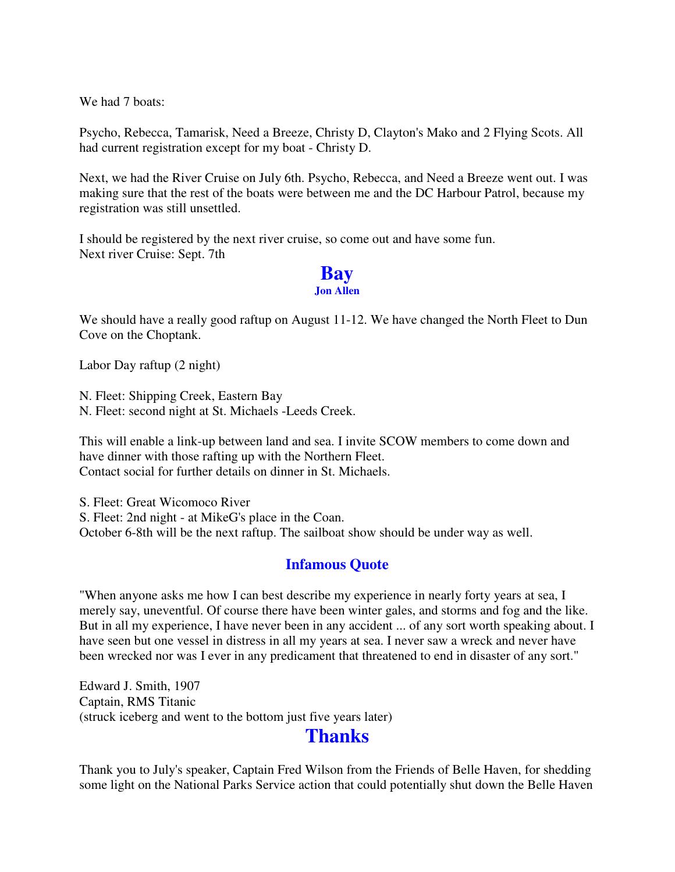We had 7 boats:

Psycho, Rebecca, Tamarisk, Need a Breeze, Christy D, Clayton's Mako and 2 Flying Scots. All had current registration except for my boat - Christy D.

Next, we had the River Cruise on July 6th. Psycho, Rebecca, and Need a Breeze went out. I was making sure that the rest of the boats were between me and the DC Harbour Patrol, because my registration was still unsettled.

I should be registered by the next river cruise, so come out and have some fun. Next river Cruise: Sept. 7th



We should have a really good raftup on August 11-12. We have changed the North Fleet to Dun Cove on the Choptank.

Labor Day raftup (2 night)

N. Fleet: Shipping Creek, Eastern Bay N. Fleet: second night at St. Michaels -Leeds Creek.

This will enable a link-up between land and sea. I invite SCOW members to come down and have dinner with those rafting up with the Northern Fleet. Contact social for further details on dinner in St. Michaels.

S. Fleet: Great Wicomoco River S. Fleet: 2nd night - at MikeG's place in the Coan. October 6-8th will be the next raftup. The sailboat show should be under way as well.

#### **Infamous Quote**

"When anyone asks me how I can best describe my experience in nearly forty years at sea, I merely say, uneventful. Of course there have been winter gales, and storms and fog and the like. But in all my experience, I have never been in any accident ... of any sort worth speaking about. I have seen but one vessel in distress in all my years at sea. I never saw a wreck and never have been wrecked nor was I ever in any predicament that threatened to end in disaster of any sort."

Edward J. Smith, 1907 Captain, RMS Titanic (struck iceberg and went to the bottom just five years later)

## **Thanks**

Thank you to July's speaker, Captain Fred Wilson from the Friends of Belle Haven, for shedding some light on the National Parks Service action that could potentially shut down the Belle Haven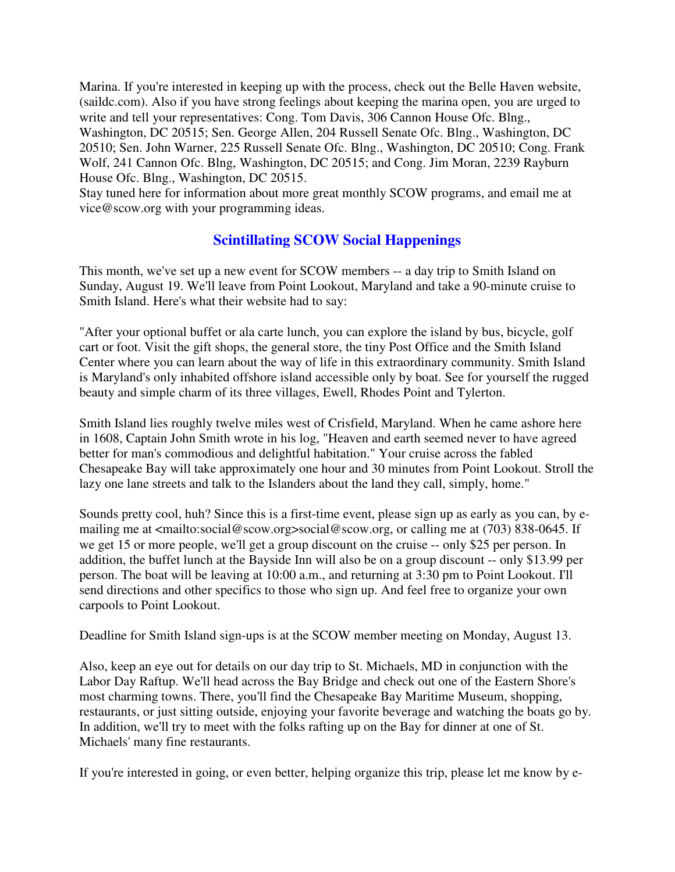Marina. If you're interested in keeping up with the process, check out the Belle Haven website, (saildc.com). Also if you have strong feelings about keeping the marina open, you are urged to write and tell your representatives: Cong. Tom Davis, 306 Cannon House Ofc. Blng., Washington, DC 20515; Sen. George Allen, 204 Russell Senate Ofc. Blng., Washington, DC 20510; Sen. John Warner, 225 Russell Senate Ofc. Blng., Washington, DC 20510; Cong. Frank Wolf, 241 Cannon Ofc. Blng, Washington, DC 20515; and Cong. Jim Moran, 2239 Rayburn House Ofc. Blng., Washington, DC 20515.

Stay tuned here for information about more great monthly SCOW programs, and email me at vice@scow.org with your programming ideas.

### **Scintillating SCOW Social Happenings**

This month, we've set up a new event for SCOW members -- a day trip to Smith Island on Sunday, August 19. We'll leave from Point Lookout, Maryland and take a 90-minute cruise to Smith Island. Here's what their website had to say:

"After your optional buffet or ala carte lunch, you can explore the island by bus, bicycle, golf cart or foot. Visit the gift shops, the general store, the tiny Post Office and the Smith Island Center where you can learn about the way of life in this extraordinary community. Smith Island is Maryland's only inhabited offshore island accessible only by boat. See for yourself the rugged beauty and simple charm of its three villages, Ewell, Rhodes Point and Tylerton.

Smith Island lies roughly twelve miles west of Crisfield, Maryland. When he came ashore here in 1608, Captain John Smith wrote in his log, "Heaven and earth seemed never to have agreed better for man's commodious and delightful habitation." Your cruise across the fabled Chesapeake Bay will take approximately one hour and 30 minutes from Point Lookout. Stroll the lazy one lane streets and talk to the Islanders about the land they call, simply, home."

Sounds pretty cool, huh? Since this is a first-time event, please sign up as early as you can, by emailing me at <mailto:social@scow.org>social@scow.org, or calling me at (703) 838-0645. If we get 15 or more people, we'll get a group discount on the cruise -- only \$25 per person. In addition, the buffet lunch at the Bayside Inn will also be on a group discount -- only \$13.99 per person. The boat will be leaving at 10:00 a.m., and returning at 3:30 pm to Point Lookout. I'll send directions and other specifics to those who sign up. And feel free to organize your own carpools to Point Lookout.

Deadline for Smith Island sign-ups is at the SCOW member meeting on Monday, August 13.

Also, keep an eye out for details on our day trip to St. Michaels, MD in conjunction with the Labor Day Raftup. We'll head across the Bay Bridge and check out one of the Eastern Shore's most charming towns. There, you'll find the Chesapeake Bay Maritime Museum, shopping, restaurants, or just sitting outside, enjoying your favorite beverage and watching the boats go by. In addition, we'll try to meet with the folks rafting up on the Bay for dinner at one of St. Michaels' many fine restaurants.

If you're interested in going, or even better, helping organize this trip, please let me know by e-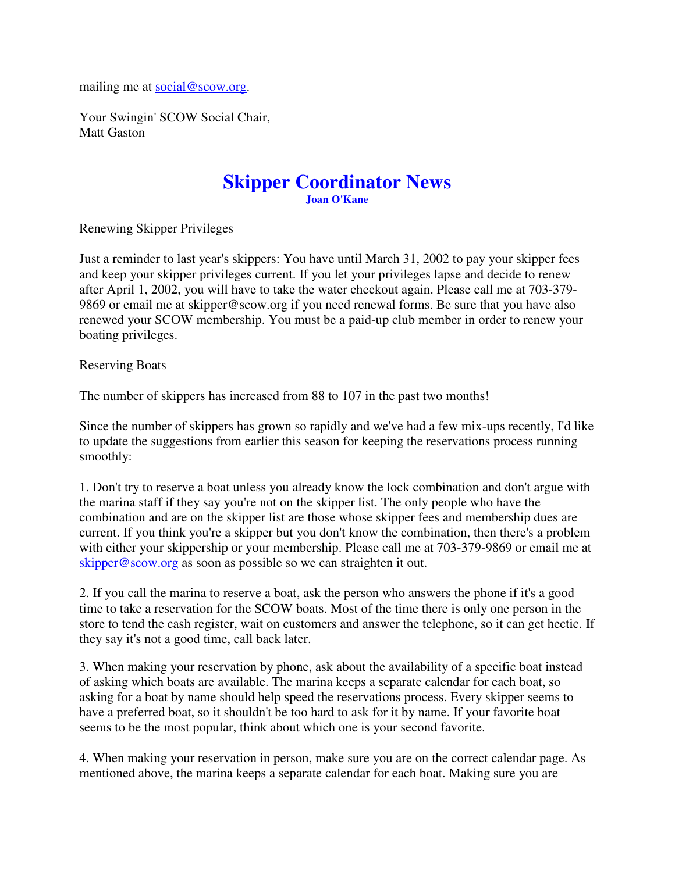mailing me at social@scow.org.

Your Swingin' SCOW Social Chair, Matt Gaston

#### **Skipper Coordinator News Joan O'Kane**

Renewing Skipper Privileges

Just a reminder to last year's skippers: You have until March 31, 2002 to pay your skipper fees and keep your skipper privileges current. If you let your privileges lapse and decide to renew after April 1, 2002, you will have to take the water checkout again. Please call me at 703-379- 9869 or email me at skipper@scow.org if you need renewal forms. Be sure that you have also renewed your SCOW membership. You must be a paid-up club member in order to renew your boating privileges.

Reserving Boats

The number of skippers has increased from 88 to 107 in the past two months!

Since the number of skippers has grown so rapidly and we've had a few mix-ups recently, I'd like to update the suggestions from earlier this season for keeping the reservations process running smoothly:

1. Don't try to reserve a boat unless you already know the lock combination and don't argue with the marina staff if they say you're not on the skipper list. The only people who have the combination and are on the skipper list are those whose skipper fees and membership dues are current. If you think you're a skipper but you don't know the combination, then there's a problem with either your skippership or your membership. Please call me at 703-379-9869 or email me at skipper@scow.org as soon as possible so we can straighten it out.

2. If you call the marina to reserve a boat, ask the person who answers the phone if it's a good time to take a reservation for the SCOW boats. Most of the time there is only one person in the store to tend the cash register, wait on customers and answer the telephone, so it can get hectic. If they say it's not a good time, call back later.

3. When making your reservation by phone, ask about the availability of a specific boat instead of asking which boats are available. The marina keeps a separate calendar for each boat, so asking for a boat by name should help speed the reservations process. Every skipper seems to have a preferred boat, so it shouldn't be too hard to ask for it by name. If your favorite boat seems to be the most popular, think about which one is your second favorite.

4. When making your reservation in person, make sure you are on the correct calendar page. As mentioned above, the marina keeps a separate calendar for each boat. Making sure you are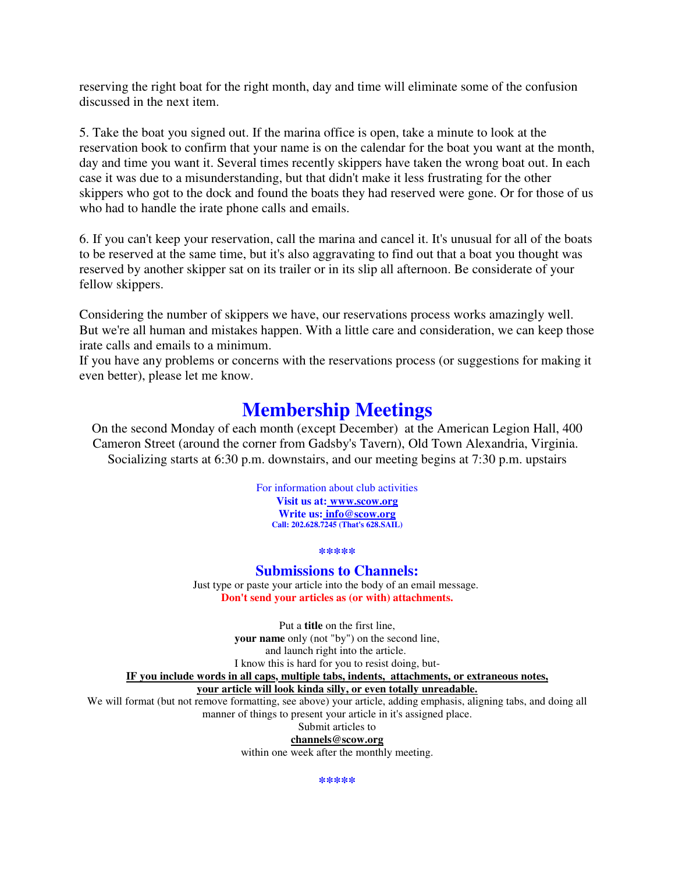reserving the right boat for the right month, day and time will eliminate some of the confusion discussed in the next item.

5. Take the boat you signed out. If the marina office is open, take a minute to look at the reservation book to confirm that your name is on the calendar for the boat you want at the month, day and time you want it. Several times recently skippers have taken the wrong boat out. In each case it was due to a misunderstanding, but that didn't make it less frustrating for the other skippers who got to the dock and found the boats they had reserved were gone. Or for those of us who had to handle the irate phone calls and emails.

6. If you can't keep your reservation, call the marina and cancel it. It's unusual for all of the boats to be reserved at the same time, but it's also aggravating to find out that a boat you thought was reserved by another skipper sat on its trailer or in its slip all afternoon. Be considerate of your fellow skippers.

Considering the number of skippers we have, our reservations process works amazingly well. But we're all human and mistakes happen. With a little care and consideration, we can keep those irate calls and emails to a minimum.

If you have any problems or concerns with the reservations process (or suggestions for making it even better), please let me know.

# **Membership Meetings**

On the second Monday of each month (except December) at the American Legion Hall, 400 Cameron Street (around the corner from Gadsby's Tavern), Old Town Alexandria, Virginia. Socializing starts at 6:30 p.m. downstairs, and our meeting begins at 7:30 p.m. upstairs

> For information about club activities **Visit us at: www.scow.org Write us: info@scow.org Call: 202.628.7245 (That's 628.SAIL)**

> > **\*\*\*\*\***

#### **Submissions to Channels:**

Just type or paste your article into the body of an email message. **Don't send your articles as (or with) attachments.**

Put a **title** on the first line, **your name** only (not "by") on the second line, and launch right into the article. I know this is hard for you to resist doing, but-

**IF you include words in all caps, multiple tabs, indents, attachments, or extraneous notes,**

**your article will look kinda silly, or even totally unreadable.**

We will format (but not remove formatting, see above) your article, adding emphasis, aligning tabs, and doing all manner of things to present your article in it's assigned place.

Submit articles to

**channels@scow.org**

within one week after the monthly meeting.

**\*\*\*\*\***